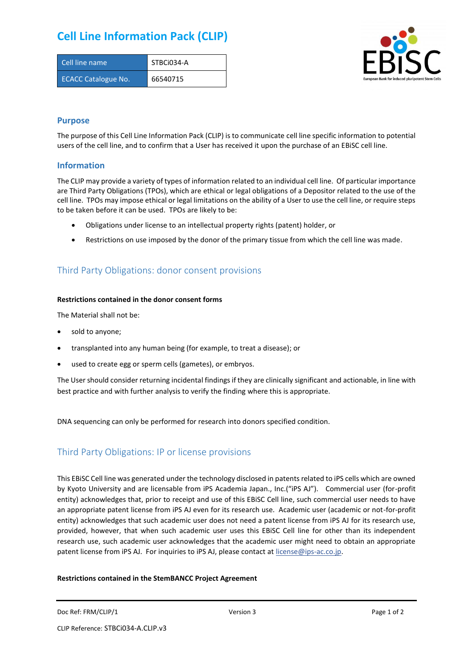## **Cell Line Information Pack (CLIP)**

| Cell line name             | STBCi034-A |
|----------------------------|------------|
| <b>ECACC Catalogue No.</b> | 66540715   |



#### **Purpose**

The purpose of this Cell Line Information Pack (CLIP) is to communicate cell line specific information to potential users of the cell line, and to confirm that a User has received it upon the purchase of an EBiSC cell line.

#### **Information**

The CLIP may provide a variety of types of information related to an individual cell line. Of particular importance are Third Party Obligations (TPOs), which are ethical or legal obligations of a Depositor related to the use of the cell line. TPOs may impose ethical or legal limitations on the ability of a User to use the cell line, or require steps to be taken before it can be used. TPOs are likely to be:

- Obligations under license to an intellectual property rights (patent) holder, or
- Restrictions on use imposed by the donor of the primary tissue from which the cell line was made.

## Third Party Obligations: donor consent provisions

#### **Restrictions contained in the donor consent forms**

The Material shall not be:

- sold to anyone;
- transplanted into any human being (for example, to treat a disease); or
- used to create egg or sperm cells (gametes), or embryos.

The User should consider returning incidental findings if they are clinically significant and actionable, in line with best practice and with further analysis to verify the finding where this is appropriate.

DNA sequencing can only be performed for research into donors specified condition.

## Third Party Obligations: IP or license provisions

This EBiSC Cell line was generated under the technology disclosed in patents related to iPS cells which are owned by Kyoto University and are licensable from iPS Academia Japan., Inc.("iPS AJ"). Commercial user (for-profit entity) acknowledges that, prior to receipt and use of this EBiSC Cell line, such commercial user needs to have an appropriate patent license from iPS AJ even for its research use. Academic user (academic or not-for-profit entity) acknowledges that such academic user does not need a patent license from iPS AJ for its research use, provided, however, that when such academic user uses this EBiSC Cell line for other than its independent research use, such academic user acknowledges that the academic user might need to obtain an appropriate patent license from iPS AJ. For inquiries to iPS AJ, please contact at [license@ips-ac.co.jp.](mailto:license@ips-ac.co.jp)

#### **Restrictions contained in the StemBANCC Project Agreement**

Doc Ref: FRM/CLIP/1 **Doces 2** Page 1 of 2 Page 1 of 2